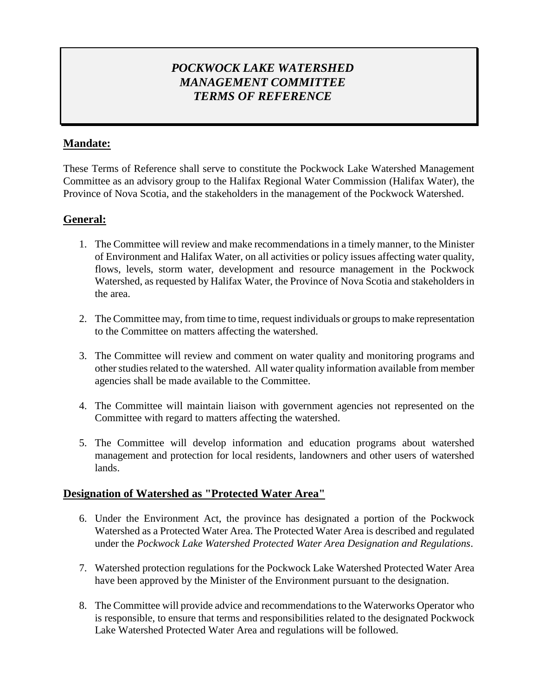# *POCKWOCK LAKE WATERSHED MANAGEMENT COMMITTEE TERMS OF REFERENCE*

## **Mandate:**

These Terms of Reference shall serve to constitute the Pockwock Lake Watershed Management Committee as an advisory group to the Halifax Regional Water Commission (Halifax Water), the Province of Nova Scotia, and the stakeholders in the management of the Pockwock Watershed.

## **General:**

- 1. The Committee will review and make recommendations in a timely manner, to the Minister of Environment and Halifax Water, on all activities or policy issues affecting water quality, flows, levels, storm water, development and resource management in the Pockwock Watershed, as requested by Halifax Water, the Province of Nova Scotia and stakeholders in the area.
- 2. The Committee may, from time to time, request individuals or groups to make representation to the Committee on matters affecting the watershed.
- 3. The Committee will review and comment on water quality and monitoring programs and other studies related to the watershed. All water quality information available from member agencies shall be made available to the Committee.
- 4. The Committee will maintain liaison with government agencies not represented on the Committee with regard to matters affecting the watershed.
- 5. The Committee will develop information and education programs about watershed management and protection for local residents, landowners and other users of watershed lands.

### **Designation of Watershed as "Protected Water Area"**

- 6. Under the Environment Act, the province has designated a portion of the Pockwock Watershed as a Protected Water Area. The Protected Water Area is described and regulated under the *Pockwock Lake Watershed Protected Water Area Designation and Regulations*.
- 7. Watershed protection regulations for the Pockwock Lake Watershed Protected Water Area have been approved by the Minister of the Environment pursuant to the designation.
- 8. The Committee will provide advice and recommendations to the Waterworks Operator who is responsible, to ensure that terms and responsibilities related to the designated Pockwock Lake Watershed Protected Water Area and regulations will be followed.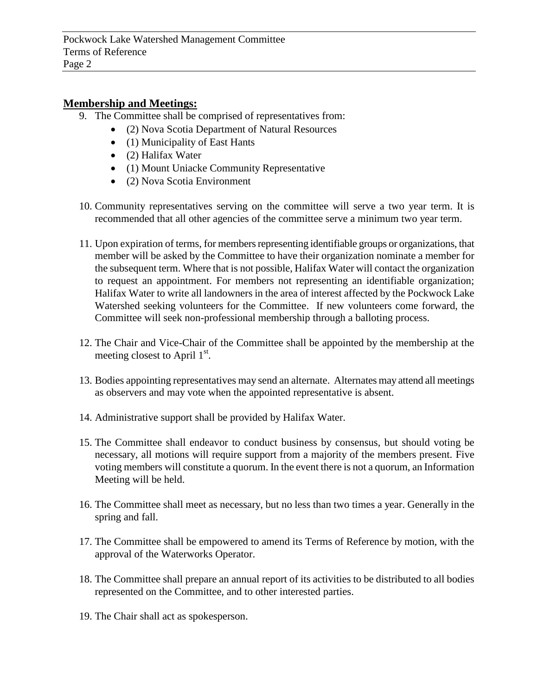#### **Membership and Meetings:**

- 9. The Committee shall be comprised of representatives from:
	- (2) Nova Scotia Department of Natural Resources
	- (1) Municipality of East Hants
	- (2) Halifax Water
	- (1) Mount Uniacke Community Representative
	- (2) Nova Scotia Environment
- 10. Community representatives serving on the committee will serve a two year term. It is recommended that all other agencies of the committee serve a minimum two year term.
- 11. Upon expiration of terms, for members representing identifiable groups or organizations, that member will be asked by the Committee to have their organization nominate a member for the subsequent term. Where that is not possible, Halifax Water will contact the organization to request an appointment. For members not representing an identifiable organization; Halifax Water to write all landowners in the area of interest affected by the Pockwock Lake Watershed seeking volunteers for the Committee. If new volunteers come forward, the Committee will seek non-professional membership through a balloting process.
- 12. The Chair and Vice-Chair of the Committee shall be appointed by the membership at the meeting closest to April  $1<sup>st</sup>$ .
- 13. Bodies appointing representatives may send an alternate. Alternates may attend all meetings as observers and may vote when the appointed representative is absent.
- 14. Administrative support shall be provided by Halifax Water.
- 15. The Committee shall endeavor to conduct business by consensus, but should voting be necessary, all motions will require support from a majority of the members present. Five voting members will constitute a quorum. In the event there is not a quorum, an Information Meeting will be held.
- 16. The Committee shall meet as necessary, but no less than two times a year. Generally in the spring and fall.
- 17. The Committee shall be empowered to amend its Terms of Reference by motion, with the approval of the Waterworks Operator.
- 18. The Committee shall prepare an annual report of its activities to be distributed to all bodies represented on the Committee, and to other interested parties.
- 19. The Chair shall act as spokesperson.